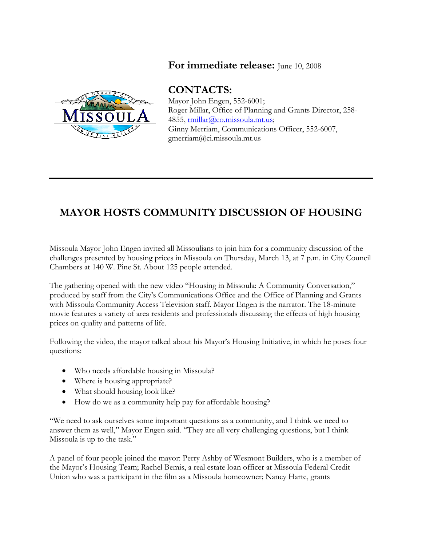## **For immediate release:** June 10, 2008



## **CONTACTS:**

Mayor John Engen, 552-6001; Roger Millar, Office of Planning and Grants Director, 258 4855, [rmillar@co.missoula.mt.us;](mailto:rmillar@co.missoula.mt.us) Ginny Merriam, Communications Officer, 552-6007, gmerriam@ci.missoula.mt.us

## **MAYOR HOSTS COMMUNITY DISCUSSION OF HOUSING**

Missoula Mayor John Engen invited all Missoulians to join him for a community discussion of the challenges presented by housing prices in Missoula on Thursday, March 13, at 7 p.m. in City Council Chambers at 140 W. Pine St. About 125 people attended.

The gathering opened with the new video "Housing in Missoula: A Community Conversation," produced by staff from the City's Communications Office and the Office of Planning and Grants with Missoula Community Access Television staff. Mayor Engen is the narrator. The 18-minute movie features a variety of area residents and professionals discussing the effects of high housing prices on quality and patterns of life.

Following the video, the mayor talked about his Mayor's Housing Initiative, in which he poses four questions:

- Who needs affordable housing in Missoula?
- Where is housing appropriate?
- What should housing look like?
- How do we as a community help pay for affordable housing?

"We need to ask ourselves some important questions as a community, and I think we need to answer them as well," Mayor Engen said. "They are all very challenging questions, but I think Missoula is up to the task."

A panel of four people joined the mayor: Perry Ashby of Wesmont Builders, who is a member of the Mayor's Housing Team; Rachel Bemis, a real estate loan officer at Missoula Federal Credit Union who was a participant in the film as a Missoula homeowner; Nancy Harte, grants